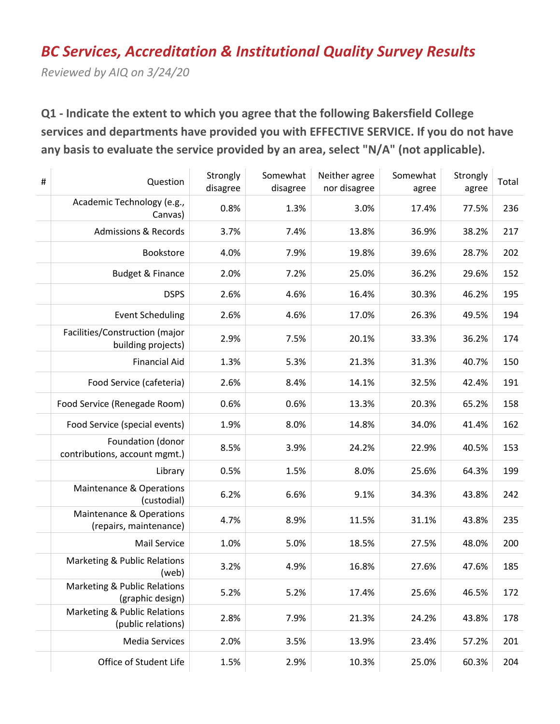# *BC Services, Accreditation & Institutional Quality Survey Results*

*Reviewed by AIQ on 3/24/20*

**Q1 - Indicate the extent to which you agree that the following Bakersfield College services and departments have provided you with EFFECTIVE SERVICE. If you do not have any basis to evaluate the service provided by an area, select "N/A" (not applicable).**

| $\#$ | Question                                                      | Strongly<br>disagree | Somewhat<br>disagree | Neither agree<br>nor disagree | Somewhat<br>agree | Strongly<br>agree | Total |
|------|---------------------------------------------------------------|----------------------|----------------------|-------------------------------|-------------------|-------------------|-------|
|      | Academic Technology (e.g.,<br>Canvas)                         | 0.8%                 | 1.3%                 | 3.0%                          | 17.4%             | 77.5%             | 236   |
|      | <b>Admissions &amp; Records</b>                               | 3.7%                 | 7.4%                 | 13.8%                         | 36.9%             | 38.2%             | 217   |
|      | Bookstore                                                     | 4.0%                 | 7.9%                 | 19.8%                         | 39.6%             | 28.7%             | 202   |
|      | <b>Budget &amp; Finance</b>                                   | 2.0%                 | 7.2%                 | 25.0%                         | 36.2%             | 29.6%             | 152   |
|      | <b>DSPS</b>                                                   | 2.6%                 | 4.6%                 | 16.4%                         | 30.3%             | 46.2%             | 195   |
|      | <b>Event Scheduling</b>                                       | 2.6%                 | 4.6%                 | 17.0%                         | 26.3%             | 49.5%             | 194   |
|      | Facilities/Construction (major<br>building projects)          | 2.9%                 | 7.5%                 | 20.1%                         | 33.3%             | 36.2%             | 174   |
|      | <b>Financial Aid</b>                                          | 1.3%                 | 5.3%                 | 21.3%                         | 31.3%             | 40.7%             | 150   |
|      | Food Service (cafeteria)                                      | 2.6%                 | 8.4%                 | 14.1%                         | 32.5%             | 42.4%             | 191   |
|      | Food Service (Renegade Room)                                  | 0.6%                 | 0.6%                 | 13.3%                         | 20.3%             | 65.2%             | 158   |
|      | Food Service (special events)                                 | 1.9%                 | 8.0%                 | 14.8%                         | 34.0%             | 41.4%             | 162   |
|      | Foundation (donor<br>contributions, account mgmt.)            | 8.5%                 | 3.9%                 | 24.2%                         | 22.9%             | 40.5%             | 153   |
|      | Library                                                       | 0.5%                 | 1.5%                 | 8.0%                          | 25.6%             | 64.3%             | 199   |
|      | Maintenance & Operations<br>(custodial)                       | 6.2%                 | 6.6%                 | 9.1%                          | 34.3%             | 43.8%             | 242   |
|      | <b>Maintenance &amp; Operations</b><br>(repairs, maintenance) | 4.7%                 | 8.9%                 | 11.5%                         | 31.1%             | 43.8%             | 235   |
|      | Mail Service                                                  | 1.0%                 | 5.0%                 | 18.5%                         | 27.5%             | 48.0%             | 200   |
|      | Marketing & Public Relations<br>(web)                         | 3.2%                 | 4.9%                 | 16.8%                         | 27.6%             | 47.6%             | 185   |
|      | <b>Marketing &amp; Public Relations</b><br>(graphic design)   | 5.2%                 | 5.2%                 | 17.4%                         | 25.6%             | 46.5%             | 172   |
|      | <b>Marketing &amp; Public Relations</b><br>(public relations) | 2.8%                 | 7.9%                 | 21.3%                         | 24.2%             | 43.8%             | 178   |
|      | <b>Media Services</b>                                         | 2.0%                 | 3.5%                 | 13.9%                         | 23.4%             | 57.2%             | 201   |
|      | Office of Student Life                                        | 1.5%                 | 2.9%                 | 10.3%                         | 25.0%             | 60.3%             | 204   |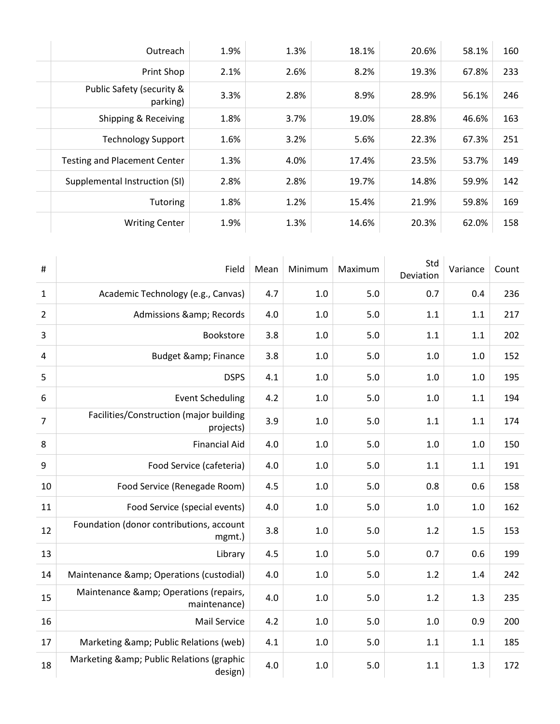|                                                                        | 233<br>67.8% |
|------------------------------------------------------------------------|--------------|
| Print Shop<br>2.6%<br>8.2%<br>19.3%<br>2.1%                            |              |
| Public Safety (security &<br>2.8%<br>3.3%<br>8.9%<br>28.9%<br>parking) | 246<br>56.1% |
| 28.8%<br>Shipping & Receiving<br>1.8%<br>3.7%<br>19.0%                 | 163<br>46.6% |
| 3.2%<br>5.6%<br>22.3%<br><b>Technology Support</b><br>1.6%             | 251<br>67.3% |
| <b>Testing and Placement Center</b><br>1.3%<br>4.0%<br>17.4%<br>23.5%  | 149<br>53.7% |
| 2.8%<br>Supplemental Instruction (SI)<br>2.8%<br>19.7%<br>14.8%        | 59.9%<br>142 |
| 1.8%<br>1.2%<br>21.9%<br>15.4%<br><b>Tutoring</b>                      | 169<br>59.8% |
| 1.9%<br>1.3%<br>14.6%<br>20.3%<br><b>Writing Center</b>                | 158<br>62.0% |

| #              | Field                                                | Mean | Minimum | Maximum | Std<br>Deviation | Variance | Count |
|----------------|------------------------------------------------------|------|---------|---------|------------------|----------|-------|
| $\mathbf{1}$   | Academic Technology (e.g., Canvas)                   | 4.7  | 1.0     | 5.0     | 0.7              | 0.4      | 236   |
| $\overline{2}$ | Admissions & Records                                 | 4.0  | 1.0     | 5.0     | 1.1              | 1.1      | 217   |
| 3              | Bookstore                                            | 3.8  | $1.0\,$ | 5.0     | 1.1              | 1.1      | 202   |
| 4              | <b>Budget &amp; Finance</b>                          | 3.8  | $1.0\,$ | 5.0     | 1.0              | 1.0      | 152   |
| 5              | <b>DSPS</b>                                          | 4.1  | $1.0\,$ | 5.0     | 1.0              | $1.0$    | 195   |
| 6              | <b>Event Scheduling</b>                              | 4.2  | 1.0     | 5.0     | 1.0              | 1.1      | 194   |
| $\overline{7}$ | Facilities/Construction (major building<br>projects) | 3.9  | $1.0$   | 5.0     | 1.1              | 1.1      | 174   |
| 8              | <b>Financial Aid</b>                                 | 4.0  | 1.0     | 5.0     | 1.0              | 1.0      | 150   |
| 9              | Food Service (cafeteria)                             | 4.0  | 1.0     | 5.0     | 1.1              | 1.1      | 191   |
| 10             | Food Service (Renegade Room)                         | 4.5  | 1.0     | 5.0     | 0.8              | 0.6      | 158   |
| 11             | Food Service (special events)                        | 4.0  | 1.0     | 5.0     | 1.0              | 1.0      | 162   |
| 12             | Foundation (donor contributions, account<br>mgmt.)   | 3.8  | 1.0     | 5.0     | 1.2              | 1.5      | 153   |
| 13             | Library                                              | 4.5  | $1.0$   | 5.0     | 0.7              | 0.6      | 199   |
| 14             | Maintenance & Operations (custodial)                 | 4.0  | 1.0     | 5.0     | 1.2              | 1.4      | 242   |
| 15             | Maintenance & Operations (repairs,<br>maintenance)   | 4.0  | 1.0     | 5.0     | 1.2              | 1.3      | 235   |
| 16             | <b>Mail Service</b>                                  | 4.2  | 1.0     | 5.0     | 1.0              | 0.9      | 200   |
| 17             | Marketing & Public Relations (web)                   | 4.1  | 1.0     | 5.0     | 1.1              | 1.1      | 185   |
| 18             | Marketing & Public Relations (graphic<br>design)     | 4.0  | $1.0$   | 5.0     | 1.1              | 1.3      | 172   |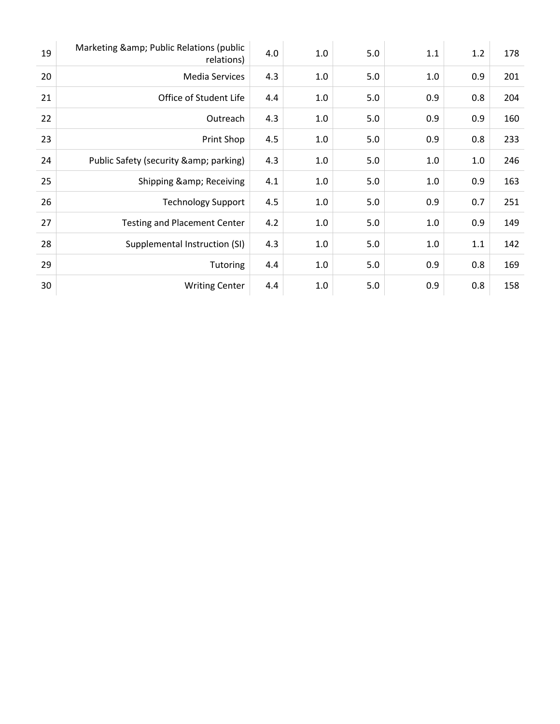| 19 | Marketing & Public Relations (public<br>relations) | 4.0 | 1.0     | 5.0 | 1.1 | 1.2 | 178 |
|----|----------------------------------------------------|-----|---------|-----|-----|-----|-----|
| 20 | <b>Media Services</b>                              | 4.3 | 1.0     | 5.0 | 1.0 | 0.9 | 201 |
| 21 | Office of Student Life                             | 4.4 | $1.0\,$ | 5.0 | 0.9 | 0.8 | 204 |
| 22 | Outreach                                           | 4.3 | 1.0     | 5.0 | 0.9 | 0.9 | 160 |
| 23 | Print Shop                                         | 4.5 | 1.0     | 5.0 | 0.9 | 0.8 | 233 |
| 24 | Public Safety (security & amp; parking)            | 4.3 | 1.0     | 5.0 | 1.0 | 1.0 | 246 |
| 25 | Shipping & Receiving                               | 4.1 | 1.0     | 5.0 | 1.0 | 0.9 | 163 |
| 26 | <b>Technology Support</b>                          | 4.5 | 1.0     | 5.0 | 0.9 | 0.7 | 251 |
| 27 | <b>Testing and Placement Center</b>                | 4.2 | 1.0     | 5.0 | 1.0 | 0.9 | 149 |
| 28 | Supplemental Instruction (SI)                      | 4.3 | 1.0     | 5.0 | 1.0 | 1.1 | 142 |
| 29 | Tutoring                                           | 4.4 | 1.0     | 5.0 | 0.9 | 0.8 | 169 |
| 30 | <b>Writing Center</b>                              | 4.4 | 1.0     | 5.0 | 0.9 | 0.8 | 158 |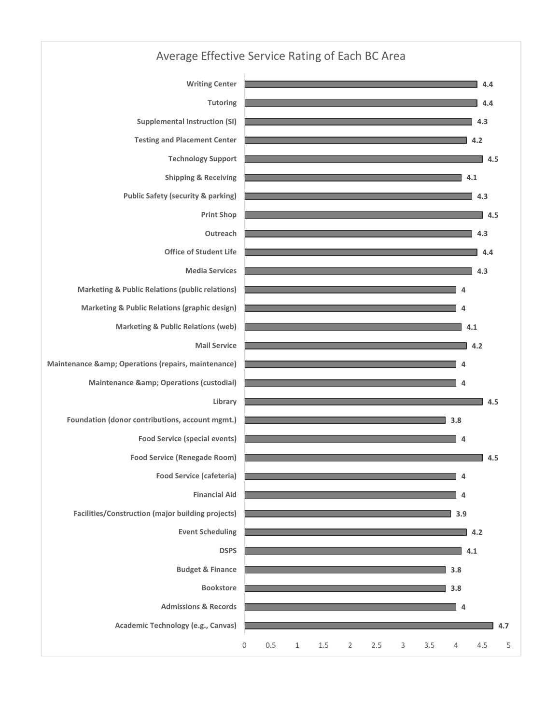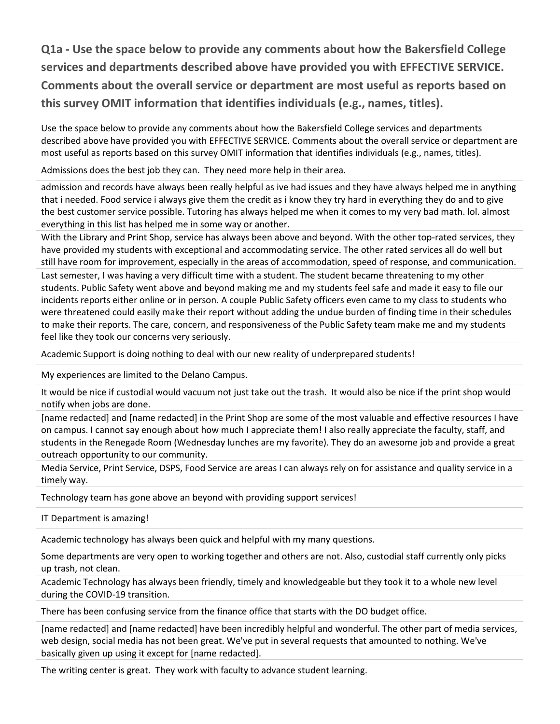**Q1a - Use the space below to provide any comments about how the Bakersfield College services and departments described above have provided you with EFFECTIVE SERVICE. Comments about the overall service or department are most useful as reports based on this survey OMIT information that identifies individuals (e.g., names, titles).**

Use the space below to provide any comments about how the Bakersfield College services and departments described above have provided you with EFFECTIVE SERVICE. Comments about the overall service or department are most useful as reports based on this survey OMIT information that identifies individuals (e.g., names, titles).

Admissions does the best job they can. They need more help in their area.

admission and records have always been really helpful as ive had issues and they have always helped me in anything that i needed. Food service i always give them the credit as i know they try hard in everything they do and to give the best customer service possible. Tutoring has always helped me when it comes to my very bad math. lol. almost everything in this list has helped me in some way or another.

With the Library and Print Shop, service has always been above and beyond. With the other top-rated services, they have provided my students with exceptional and accommodating service. The other rated services all do well but still have room for improvement, especially in the areas of accommodation, speed of response, and communication.

Last semester, I was having a very difficult time with a student. The student became threatening to my other students. Public Safety went above and beyond making me and my students feel safe and made it easy to file our incidents reports either online or in person. A couple Public Safety officers even came to my class to students who were threatened could easily make their report without adding the undue burden of finding time in their schedules to make their reports. The care, concern, and responsiveness of the Public Safety team make me and my students feel like they took our concerns very seriously.

Academic Support is doing nothing to deal with our new reality of underprepared students!

My experiences are limited to the Delano Campus.

It would be nice if custodial would vacuum not just take out the trash. It would also be nice if the print shop would notify when jobs are done.

[name redacted] and [name redacted] in the Print Shop are some of the most valuable and effective resources I have on campus. I cannot say enough about how much I appreciate them! I also really appreciate the faculty, staff, and students in the Renegade Room (Wednesday lunches are my favorite). They do an awesome job and provide a great outreach opportunity to our community.

Media Service, Print Service, DSPS, Food Service are areas I can always rely on for assistance and quality service in a timely way.

Technology team has gone above an beyond with providing support services!

IT Department is amazing!

Academic technology has always been quick and helpful with my many questions.

Some departments are very open to working together and others are not. Also, custodial staff currently only picks up trash, not clean.

Academic Technology has always been friendly, timely and knowledgeable but they took it to a whole new level during the COVID-19 transition.

There has been confusing service from the finance office that starts with the DO budget office.

[name redacted] and [name redacted] have been incredibly helpful and wonderful. The other part of media services, web design, social media has not been great. We've put in several requests that amounted to nothing. We've basically given up using it except for [name redacted].

The writing center is great. They work with faculty to advance student learning.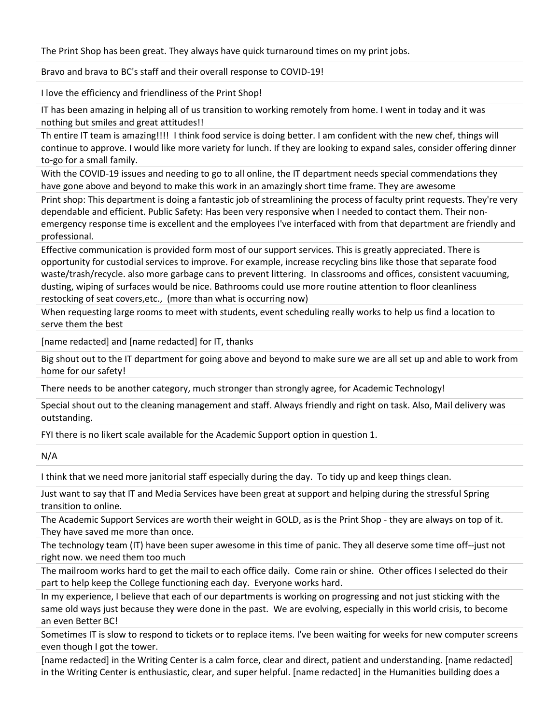The Print Shop has been great. They always have quick turnaround times on my print jobs.

Bravo and brava to BC's staff and their overall response to COVID-19!

I love the efficiency and friendliness of the Print Shop!

IT has been amazing in helping all of us transition to working remotely from home. I went in today and it was nothing but smiles and great attitudes!!

Th entire IT team is amazing!!!! I think food service is doing better. I am confident with the new chef, things will continue to approve. I would like more variety for lunch. If they are looking to expand sales, consider offering dinner to-go for a small family.

With the COVID-19 issues and needing to go to all online, the IT department needs special commendations they have gone above and beyond to make this work in an amazingly short time frame. They are awesome

Print shop: This department is doing a fantastic job of streamlining the process of faculty print requests. They're very dependable and efficient. Public Safety: Has been very responsive when I needed to contact them. Their nonemergency response time is excellent and the employees I've interfaced with from that department are friendly and professional.

Effective communication is provided form most of our support services. This is greatly appreciated. There is opportunity for custodial services to improve. For example, increase recycling bins like those that separate food waste/trash/recycle. also more garbage cans to prevent littering. In classrooms and offices, consistent vacuuming, dusting, wiping of surfaces would be nice. Bathrooms could use more routine attention to floor cleanliness restocking of seat covers,etc., (more than what is occurring now)

When requesting large rooms to meet with students, event scheduling really works to help us find a location to serve them the best

[name redacted] and [name redacted] for IT, thanks

Big shout out to the IT department for going above and beyond to make sure we are all set up and able to work from home for our safety!

There needs to be another category, much stronger than strongly agree, for Academic Technology!

Special shout out to the cleaning management and staff. Always friendly and right on task. Also, Mail delivery was outstanding.

FYI there is no likert scale available for the Academic Support option in question 1.

N/A

I think that we need more janitorial staff especially during the day. To tidy up and keep things clean.

Just want to say that IT and Media Services have been great at support and helping during the stressful Spring transition to online.

The Academic Support Services are worth their weight in GOLD, as is the Print Shop - they are always on top of it. They have saved me more than once.

The technology team (IT) have been super awesome in this time of panic. They all deserve some time off--just not right now. we need them too much

The mailroom works hard to get the mail to each office daily. Come rain or shine. Other offices I selected do their part to help keep the College functioning each day. Everyone works hard.

In my experience, I believe that each of our departments is working on progressing and not just sticking with the same old ways just because they were done in the past. We are evolving, especially in this world crisis, to become an even Better BC!

Sometimes IT is slow to respond to tickets or to replace items. I've been waiting for weeks for new computer screens even though I got the tower.

[name redacted] in the Writing Center is a calm force, clear and direct, patient and understanding. [name redacted] in the Writing Center is enthusiastic, clear, and super helpful. [name redacted] in the Humanities building does a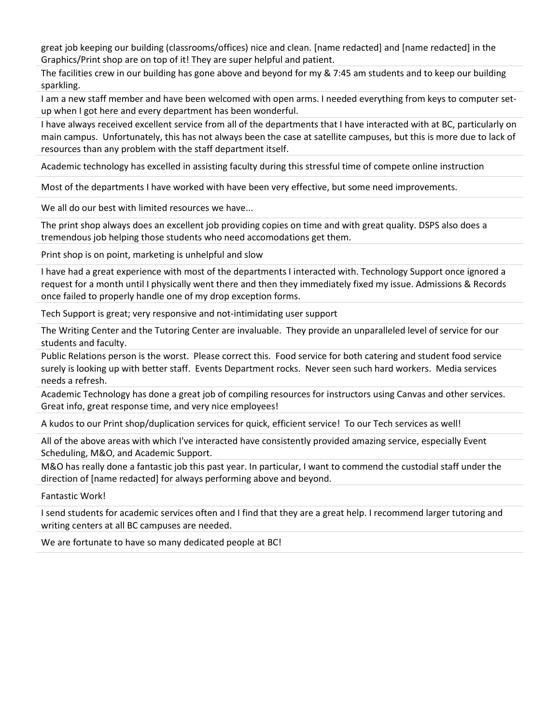great job keeping our building (classrooms/offices) nice and clean. [name redacted] and [name redacted] in the Graphics/Print shop are on top of it! They are super helpful and patient.

The facilities crew in our building has gone above and beyond for my & 7:45 am students and to keep our building sparkling.

I am a new staff member and have been welcomed with open arms. I needed everything from keys to computer setup when I got here and every department has been wonderful.

I have always received excellent service from all of the departments that I have interacted with at BC, particularly on main campus. Unfortunately, this has not always been the case at satellite campuses, but this is more due to lack of resources than any problem with the staff department itself.

Academic technology has excelled in assisting faculty during this stressful time of compete online instruction

Most of the departments I have worked with have been very effective, but some need improvements.

We all do our best with limited resources we have...

The print shop always does an excellent job providing copies on time and with great quality. DSPS also does a tremendous job helping those students who need accomodations get them.

Print shop is on point, marketing is unhelpful and slow

I have had a great experience with most of the departments I interacted with. Technology Support once ignored a request for a month until I physically went there and then they immediately fixed my issue. Admissions & Records once failed to properly handle one of my drop exception forms.

Tech Support is great; very responsive and not-intimidating user support

The Writing Center and the Tutoring Center are invaluable. They provide an unparalleled level of service for our students and faculty.

Public Relations person is the worst. Please correct this. Food service for both catering and student food service surely is looking up with better staff. Events Department rocks. Never seen such hard workers. Media services needs a refresh.

Academic Technology has done a great job of compiling resources for instructors using Canvas and other services. Great info, great response time, and very nice employees!

A kudos to our Print shop/duplication services for quick, efficient service! To our Tech services as well!

All of the above areas with which I've interacted have consistently provided amazing service, especially Event Scheduling, M&O, and Academic Support.

M&O has really done a fantastic job this past year. In particular, I want to commend the custodial staff under the direction of [name redacted] for always performing above and beyond.

Fantastic Work!

I send students for academic services often and I find that they are a great help. I recommend larger tutoring and writing centers at all BC campuses are needed.

We are fortunate to have so many dedicated people at BC!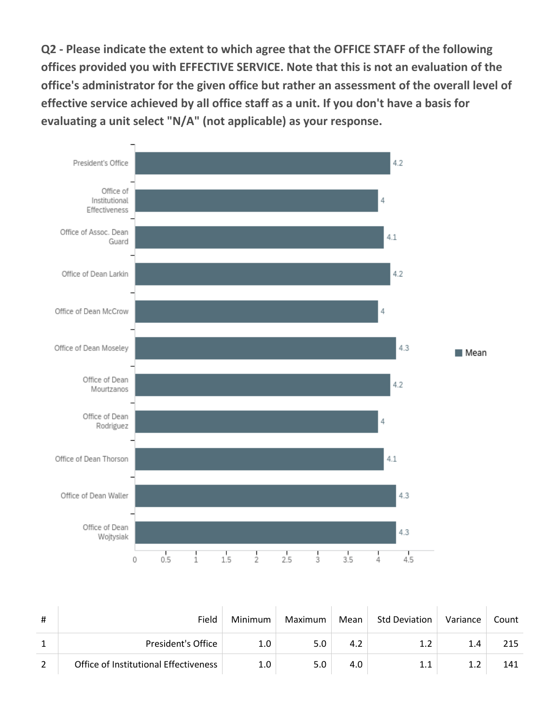**Q2 - Please indicate the extent to which agree that the OFFICE STAFF of the following offices provided you with EFFECTIVE SERVICE. Note that this is not an evaluation of the office's administrator for the given office but rather an assessment of the overall level of effective service achieved by all office staff as a unit. If you don't have a basis for evaluating a unit select "N/A" (not applicable) as your response.**



| #              | Field                                 | Minimum | Maximum | Mean | <b>Std Deviation</b> | Variance | Count |
|----------------|---------------------------------------|---------|---------|------|----------------------|----------|-------|
|                | President's Office                    | 1.0     | 5.0     |      | 1.2                  | 1.4      | 215   |
| $\overline{2}$ | Office of Institutional Effectiveness | 1.0     | 5.0     | 4.0  | 1.1                  |          | 141   |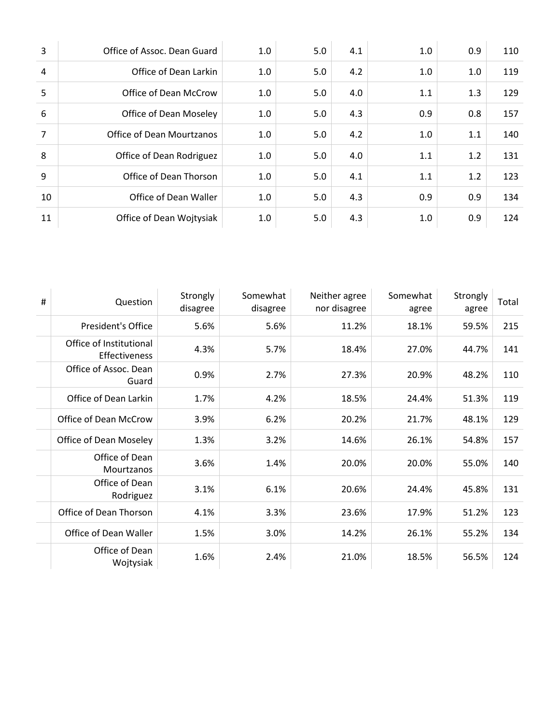| 3              | Office of Assoc. Dean Guard      | 1.0 | 5.0 | 4.1 | 1.0 | 0.9 | 110 |
|----------------|----------------------------------|-----|-----|-----|-----|-----|-----|
| $\overline{4}$ | Office of Dean Larkin            | 1.0 | 5.0 | 4.2 | 1.0 | 1.0 | 119 |
| 5              | Office of Dean McCrow            | 1.0 | 5.0 | 4.0 | 1.1 | 1.3 | 129 |
| 6              | Office of Dean Moseley           | 1.0 | 5.0 | 4.3 | 0.9 | 0.8 | 157 |
| $\overline{7}$ | <b>Office of Dean Mourtzanos</b> | 1.0 | 5.0 | 4.2 | 1.0 | 1.1 | 140 |
| 8              | Office of Dean Rodriguez         | 1.0 | 5.0 | 4.0 | 1.1 | 1.2 | 131 |
| 9              | Office of Dean Thorson           | 1.0 | 5.0 | 4.1 | 1.1 | 1.2 | 123 |
| 10             | Office of Dean Waller            | 1.0 | 5.0 | 4.3 | 0.9 | 0.9 | 134 |
| 11             | Office of Dean Wojtysiak         | 1.0 | 5.0 | 4.3 | 1.0 | 0.9 | 124 |

| # | Question                                 | Strongly<br>disagree | Somewhat<br>disagree | Neither agree<br>nor disagree | Somewhat<br>agree | Strongly<br>agree | Total |
|---|------------------------------------------|----------------------|----------------------|-------------------------------|-------------------|-------------------|-------|
|   | President's Office                       | 5.6%                 | 5.6%                 | 11.2%                         | 18.1%             | 59.5%             | 215   |
|   | Office of Institutional<br>Effectiveness | 4.3%                 | 5.7%                 | 18.4%                         | 27.0%             | 44.7%             | 141   |
|   | Office of Assoc. Dean<br>Guard           | 0.9%                 | 2.7%                 | 27.3%                         | 20.9%             | 48.2%             | 110   |
|   | Office of Dean Larkin                    | 1.7%                 | 4.2%                 | 18.5%                         | 24.4%             | 51.3%             | 119   |
|   | Office of Dean McCrow                    | 3.9%                 | 6.2%                 | 20.2%                         | 21.7%             | 48.1%             | 129   |
|   | Office of Dean Moseley                   | 1.3%                 | 3.2%                 | 14.6%                         | 26.1%             | 54.8%             | 157   |
|   | Office of Dean<br>Mourtzanos             | 3.6%                 | 1.4%                 | 20.0%                         | 20.0%             | 55.0%             | 140   |
|   | Office of Dean<br>Rodriguez              | 3.1%                 | 6.1%                 | 20.6%                         | 24.4%             | 45.8%             | 131   |
|   | Office of Dean Thorson                   | 4.1%                 | 3.3%                 | 23.6%                         | 17.9%             | 51.2%             | 123   |
|   | Office of Dean Waller                    | 1.5%                 | 3.0%                 | 14.2%                         | 26.1%             | 55.2%             | 134   |
|   | Office of Dean<br>Wojtysiak              | 1.6%                 | 2.4%                 | 21.0%                         | 18.5%             | 56.5%             | 124   |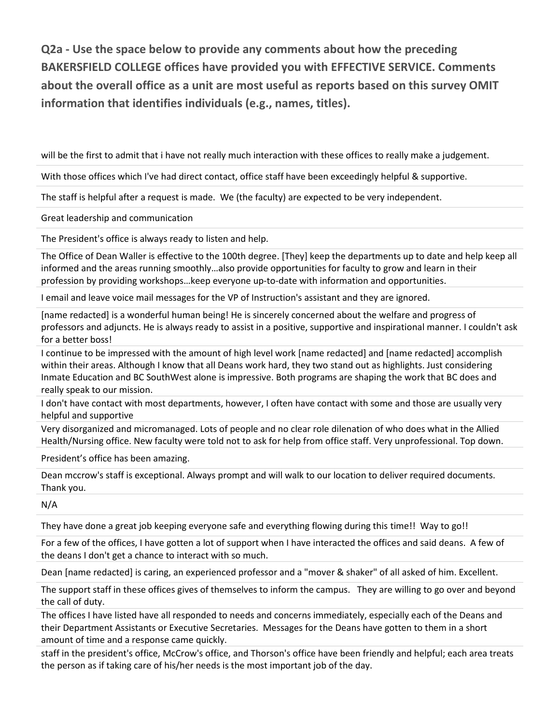**Q2a - Use the space below to provide any comments about how the preceding BAKERSFIELD COLLEGE offices have provided you with EFFECTIVE SERVICE. Comments about the overall office as a unit are most useful as reports based on this survey OMIT information that identifies individuals (e.g., names, titles).**

will be the first to admit that i have not really much interaction with these offices to really make a judgement.

With those offices which I've had direct contact, office staff have been exceedingly helpful & supportive.

The staff is helpful after a request is made. We (the faculty) are expected to be very independent.

Great leadership and communication

The President's office is always ready to listen and help.

The Office of Dean Waller is effective to the 100th degree. [They] keep the departments up to date and help keep all informed and the areas running smoothly…also provide opportunities for faculty to grow and learn in their profession by providing workshops…keep everyone up-to-date with information and opportunities.

I email and leave voice mail messages for the VP of Instruction's assistant and they are ignored.

[name redacted] is a wonderful human being! He is sincerely concerned about the welfare and progress of professors and adjuncts. He is always ready to assist in a positive, supportive and inspirational manner. I couldn't ask for a better boss!

I continue to be impressed with the amount of high level work [name redacted] and [name redacted] accomplish within their areas. Although I know that all Deans work hard, they two stand out as highlights. Just considering Inmate Education and BC SouthWest alone is impressive. Both programs are shaping the work that BC does and really speak to our mission.

I don't have contact with most departments, however, I often have contact with some and those are usually very helpful and supportive

Very disorganized and micromanaged. Lots of people and no clear role dilenation of who does what in the Allied Health/Nursing office. New faculty were told not to ask for help from office staff. Very unprofessional. Top down.

President's office has been amazing.

Dean mccrow's staff is exceptional. Always prompt and will walk to our location to deliver required documents. Thank you.

N/A

They have done a great job keeping everyone safe and everything flowing during this time!! Way to go!!

For a few of the offices, I have gotten a lot of support when I have interacted the offices and said deans. A few of the deans I don't get a chance to interact with so much.

Dean [name redacted] is caring, an experienced professor and a "mover & shaker" of all asked of him. Excellent.

The support staff in these offices gives of themselves to inform the campus. They are willing to go over and beyond the call of duty.

The offices I have listed have all responded to needs and concerns immediately, especially each of the Deans and their Department Assistants or Executive Secretaries. Messages for the Deans have gotten to them in a short amount of time and a response came quickly.

staff in the president's office, McCrow's office, and Thorson's office have been friendly and helpful; each area treats the person as if taking care of his/her needs is the most important job of the day.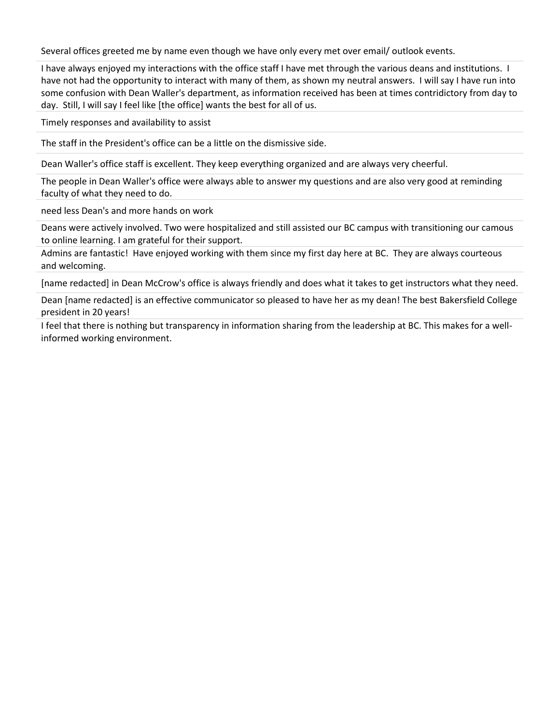Several offices greeted me by name even though we have only every met over email/ outlook events.

I have always enjoyed my interactions with the office staff I have met through the various deans and institutions. I have not had the opportunity to interact with many of them, as shown my neutral answers. I will say I have run into some confusion with Dean Waller's department, as information received has been at times contridictory from day to day. Still, I will say I feel like [the office] wants the best for all of us.

Timely responses and availability to assist

The staff in the President's office can be a little on the dismissive side.

Dean Waller's office staff is excellent. They keep everything organized and are always very cheerful.

The people in Dean Waller's office were always able to answer my questions and are also very good at reminding faculty of what they need to do.

need less Dean's and more hands on work

Deans were actively involved. Two were hospitalized and still assisted our BC campus with transitioning our camous to online learning. I am grateful for their support.

Admins are fantastic! Have enjoyed working with them since my first day here at BC. They are always courteous and welcoming.

[name redacted] in Dean McCrow's office is always friendly and does what it takes to get instructors what they need.

Dean [name redacted] is an effective communicator so pleased to have her as my dean! The best Bakersfield College president in 20 years!

I feel that there is nothing but transparency in information sharing from the leadership at BC. This makes for a wellinformed working environment.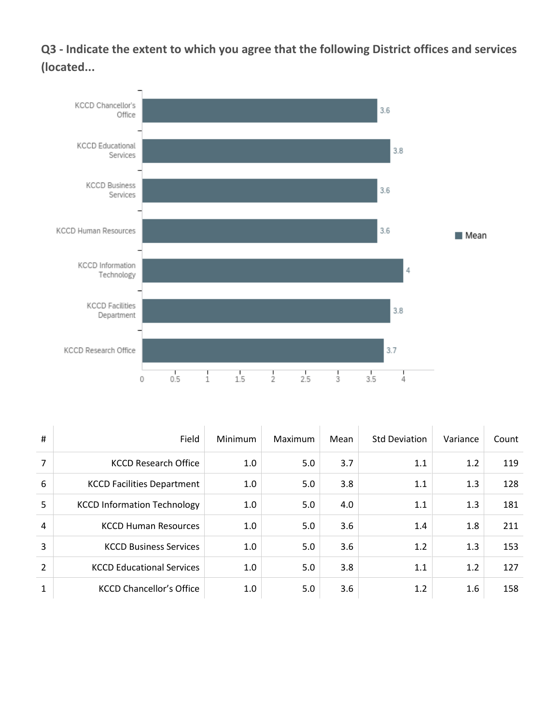**Q3 - Indicate the extent to which you agree that the following District offices and services (located...**



| #              | Field                              | <b>Minimum</b> | Maximum | Mean | <b>Std Deviation</b> | Variance | Count |
|----------------|------------------------------------|----------------|---------|------|----------------------|----------|-------|
| $\overline{7}$ | <b>KCCD Research Office</b>        | 1.0            | 5.0     | 3.7  | 1.1                  | 1.2      | 119   |
| 6              | <b>KCCD Facilities Department</b>  | 1.0            | 5.0     | 3.8  | 1.1                  | 1.3      | 128   |
| 5              | <b>KCCD Information Technology</b> | 1.0            | 5.0     | 4.0  | 1.1                  | 1.3      | 181   |
| $\overline{4}$ | <b>KCCD Human Resources</b>        | 1.0            | 5.0     | 3.6  | 1.4                  | 1.8      | 211   |
| $\overline{3}$ | <b>KCCD Business Services</b>      | 1.0            | 5.0     | 3.6  | 1.2                  | 1.3      | 153   |
| 2              | <b>KCCD Educational Services</b>   | 1.0            | 5.0     | 3.8  | 1.1                  | 1.2      | 127   |
| $\mathbf{1}$   | <b>KCCD Chancellor's Office</b>    | 1.0            | 5.0     | 3.6  | 1.2                  | 1.6      | 158   |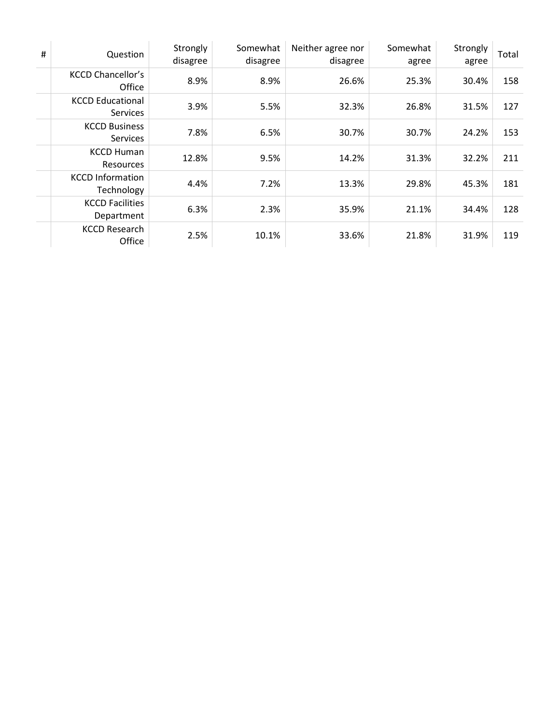| # | Question                                   | Strongly<br>disagree | Somewhat<br>disagree | Neither agree nor<br>disagree | Somewhat<br>agree | Strongly<br>agree | Total |
|---|--------------------------------------------|----------------------|----------------------|-------------------------------|-------------------|-------------------|-------|
|   | <b>KCCD Chancellor's</b><br>Office         | 8.9%                 | 8.9%                 | 26.6%                         | 25.3%             | 30.4%             | 158   |
|   | <b>KCCD Educational</b><br><b>Services</b> | 3.9%                 | 5.5%                 | 32.3%                         | 26.8%             | 31.5%             | 127   |
|   | <b>KCCD Business</b><br><b>Services</b>    | 7.8%                 | 6.5%                 | 30.7%                         | 30.7%             | 24.2%             | 153   |
|   | <b>KCCD Human</b><br><b>Resources</b>      | 12.8%                | 9.5%                 | 14.2%                         | 31.3%             | 32.2%             | 211   |
|   | <b>KCCD Information</b><br>Technology      | 4.4%                 | 7.2%                 | 13.3%                         | 29.8%             | 45.3%             | 181   |
|   | <b>KCCD Facilities</b><br>Department       | 6.3%                 | 2.3%                 | 35.9%                         | 21.1%             | 34.4%             | 128   |
|   | <b>KCCD Research</b><br>Office             | 2.5%                 | 10.1%                | 33.6%                         | 21.8%             | 31.9%             | 119   |
|   |                                            |                      |                      |                               |                   |                   |       |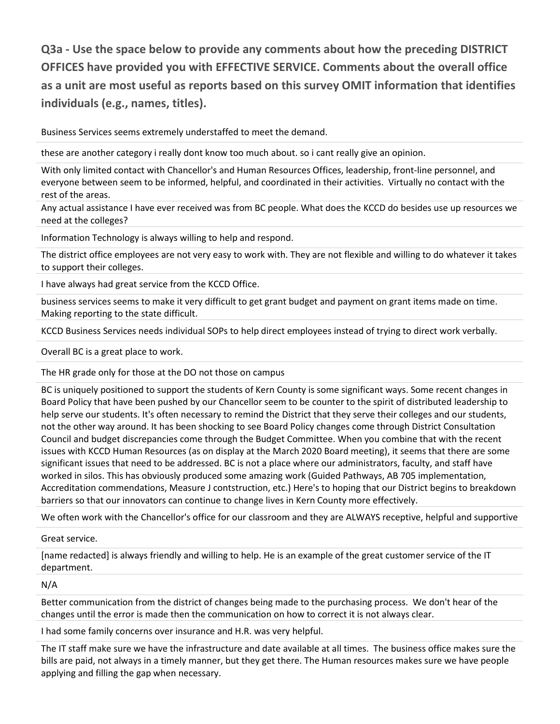**Q3a - Use the space below to provide any comments about how the preceding DISTRICT OFFICES have provided you with EFFECTIVE SERVICE. Comments about the overall office as a unit are most useful as reports based on this survey OMIT information that identifies individuals (e.g., names, titles).**

Business Services seems extremely understaffed to meet the demand.

these are another category i really dont know too much about. so i cant really give an opinion.

With only limited contact with Chancellor's and Human Resources Offices, leadership, front-line personnel, and everyone between seem to be informed, helpful, and coordinated in their activities. Virtually no contact with the rest of the areas.

Any actual assistance I have ever received was from BC people. What does the KCCD do besides use up resources we need at the colleges?

Information Technology is always willing to help and respond.

The district office employees are not very easy to work with. They are not flexible and willing to do whatever it takes to support their colleges.

I have always had great service from the KCCD Office.

business services seems to make it very difficult to get grant budget and payment on grant items made on time. Making reporting to the state difficult.

KCCD Business Services needs individual SOPs to help direct employees instead of trying to direct work verbally.

Overall BC is a great place to work.

The HR grade only for those at the DO not those on campus

BC is uniquely positioned to support the students of Kern County is some significant ways. Some recent changes in Board Policy that have been pushed by our Chancellor seem to be counter to the spirit of distributed leadership to help serve our students. It's often necessary to remind the District that they serve their colleges and our students, not the other way around. It has been shocking to see Board Policy changes come through District Consultation Council and budget discrepancies come through the Budget Committee. When you combine that with the recent issues with KCCD Human Resources (as on display at the March 2020 Board meeting), it seems that there are some significant issues that need to be addressed. BC is not a place where our administrators, faculty, and staff have worked in silos. This has obviously produced some amazing work (Guided Pathways, AB 705 implementation, Accreditation commendations, Measure J contstruction, etc.) Here's to hoping that our District begins to breakdown barriers so that our innovators can continue to change lives in Kern County more effectively.

We often work with the Chancellor's office for our classroom and they are ALWAYS receptive, helpful and supportive

Great service.

[name redacted] is always friendly and willing to help. He is an example of the great customer service of the IT department.

N/A

Better communication from the district of changes being made to the purchasing process. We don't hear of the changes until the error is made then the communication on how to correct it is not always clear.

I had some family concerns over insurance and H.R. was very helpful.

The IT staff make sure we have the infrastructure and date available at all times. The business office makes sure the bills are paid, not always in a timely manner, but they get there. The Human resources makes sure we have people applying and filling the gap when necessary.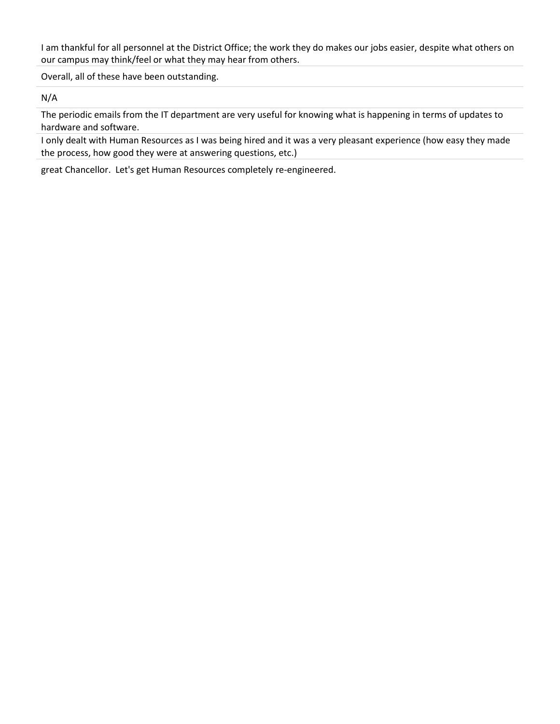I am thankful for all personnel at the District Office; the work they do makes our jobs easier, despite what others on our campus may think/feel or what they may hear from others.

Overall, all of these have been outstanding.

N/A

The periodic emails from the IT department are very useful for knowing what is happening in terms of updates to hardware and software.

I only dealt with Human Resources as I was being hired and it was a very pleasant experience (how easy they made the process, how good they were at answering questions, etc.)

great Chancellor. Let's get Human Resources completely re-engineered.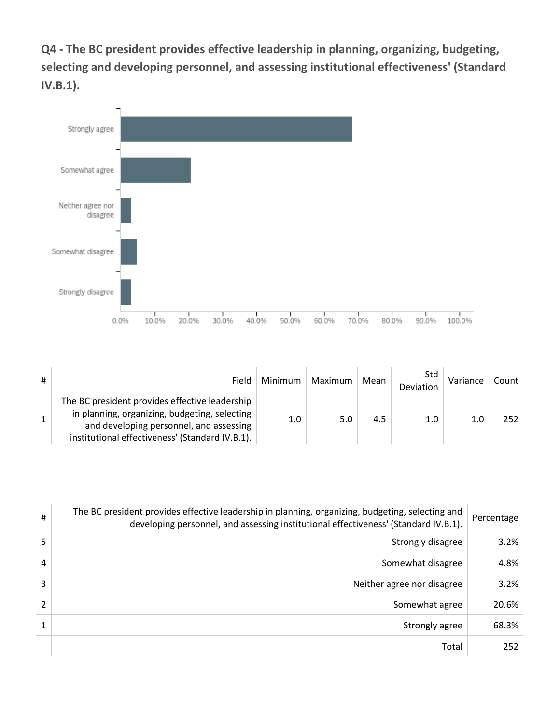**Q4 - The BC president provides effective leadership in planning, organizing, budgeting, selecting and developing personnel, and assessing institutional effectiveness' (Standard IV.B.1).**



| # | Field                                                                                                                                                                                         | Minimum | Maximum | Mean | Std<br>Deviation | Variance | Count |
|---|-----------------------------------------------------------------------------------------------------------------------------------------------------------------------------------------------|---------|---------|------|------------------|----------|-------|
|   | The BC president provides effective leadership<br>in planning, organizing, budgeting, selecting<br>and developing personnel, and assessing<br>institutional effectiveness' (Standard IV.B.1). | $1.0\,$ | 5.0     | 4.5  | 1.0              | 1.0      | 252   |

| #             | The BC president provides effective leadership in planning, organizing, budgeting, selecting and<br>developing personnel, and assessing institutional effectiveness' (Standard IV.B.1). | Percentage |
|---------------|-----------------------------------------------------------------------------------------------------------------------------------------------------------------------------------------|------------|
| 5             | Strongly disagree                                                                                                                                                                       | 3.2%       |
| 4             | Somewhat disagree                                                                                                                                                                       | 4.8%       |
| 3             | Neither agree nor disagree                                                                                                                                                              | 3.2%       |
| $\mathcal{P}$ | Somewhat agree                                                                                                                                                                          | 20.6%      |
|               | Strongly agree                                                                                                                                                                          | 68.3%      |
|               | Total                                                                                                                                                                                   | 252        |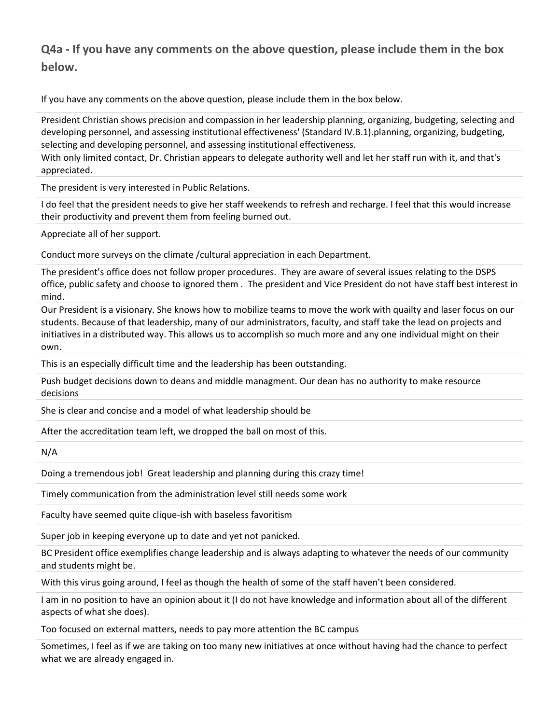#### **Q4a - If you have any comments on the above question, please include them in the box below.**

If you have any comments on the above question, please include them in the box below.

President Christian shows precision and compassion in her leadership planning, organizing, budgeting, selecting and developing personnel, and assessing institutional effectiveness' (Standard IV.B.1).planning, organizing, budgeting, selecting and developing personnel, and assessing institutional effectiveness.

With only limited contact, Dr. Christian appears to delegate authority well and let her staff run with it, and that's appreciated.

The president is very interested in Public Relations.

I do feel that the president needs to give her staff weekends to refresh and recharge. I feel that this would increase their productivity and prevent them from feeling burned out.

Appreciate all of her support.

Conduct more surveys on the climate /cultural appreciation in each Department.

The president's office does not follow proper procedures. They are aware of several issues relating to the DSPS office, public safety and choose to ignored them . The president and Vice President do not have staff best interest in mind.

Our President is a visionary. She knows how to mobilize teams to move the work with quailty and laser focus on our students. Because of that leadership, many of our administrators, faculty, and staff take the lead on projects and initiatives in a distributed way. This allows us to accomplish so much more and any one individual might on their own.

This is an especially difficult time and the leadership has been outstanding.

Push budget decisions down to deans and middle managment. Our dean has no authority to make resource decisions

She is clear and concise and a model of what leadership should be

After the accreditation team left, we dropped the ball on most of this.

N/A

Doing a tremendous job! Great leadership and planning during this crazy time!

Timely communication from the administration level still needs some work

Faculty have seemed quite clique-ish with baseless favoritism

Super job in keeping everyone up to date and yet not panicked.

BC President office exemplifies change leadership and is always adapting to whatever the needs of our community and students might be.

With this virus going around, I feel as though the health of some of the staff haven't been considered.

I am in no position to have an opinion about it (I do not have knowledge and information about all of the different aspects of what she does).

Too focused on external matters, needs to pay more attention the BC campus

Sometimes, I feel as if we are taking on too many new initiatives at once without having had the chance to perfect what we are already engaged in.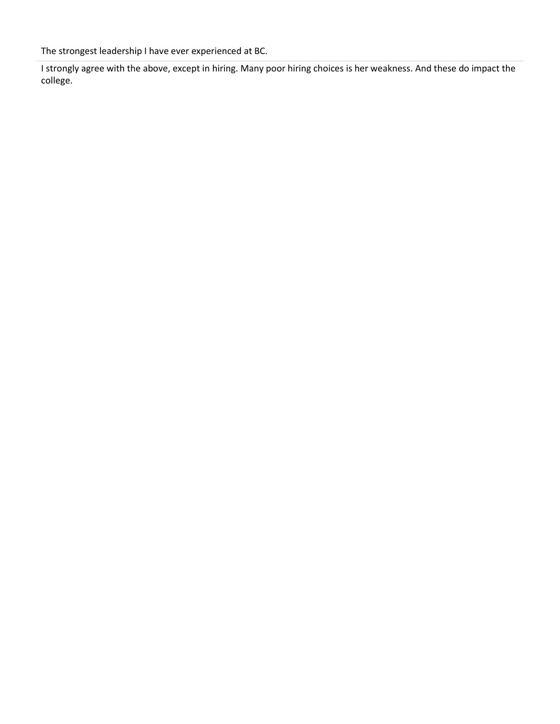The strongest leadership I have ever experienced at BC.

I strongly agree with the above, except in hiring. Many poor hiring choices is her weakness. And these do impact the college.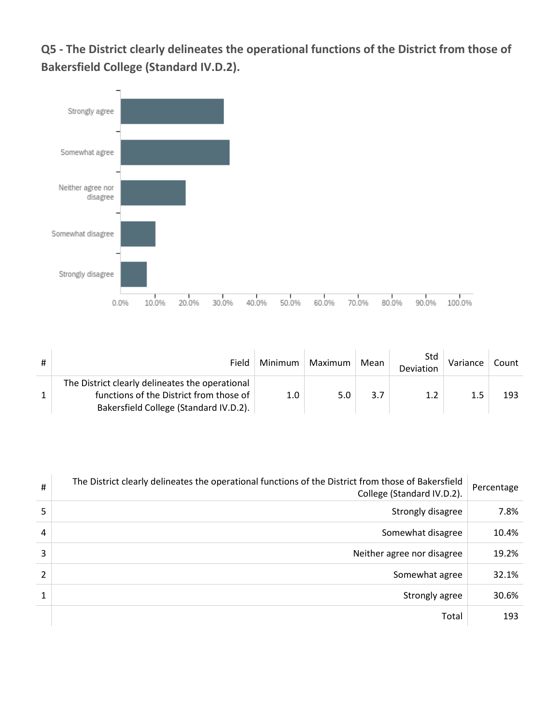**Q5 - The District clearly delineates the operational functions of the District from those of Bakersfield College (Standard IV.D.2).**



| # | Field                                                                                      | Minimum | Maximum | Mean | Std<br>Deviation | Variance | Count |
|---|--------------------------------------------------------------------------------------------|---------|---------|------|------------------|----------|-------|
|   | The District clearly delineates the operational<br>functions of the District from those of | 1.0     | 5.0     | 3.7  | 1.2              | 1.5      | 193   |
|   | Bakersfield College (Standard IV.D.2).                                                     |         |         |      |                  |          |       |

| #              | The District clearly delineates the operational functions of the District from those of Bakersfield<br>College (Standard IV.D.2). | Percentage |
|----------------|-----------------------------------------------------------------------------------------------------------------------------------|------------|
| 5              | Strongly disagree                                                                                                                 | 7.8%       |
| 4              | Somewhat disagree                                                                                                                 | 10.4%      |
| 3              | Neither agree nor disagree                                                                                                        | 19.2%      |
| $\overline{2}$ | Somewhat agree                                                                                                                    | 32.1%      |
| 1              | Strongly agree                                                                                                                    | 30.6%      |
|                | Total                                                                                                                             | 193        |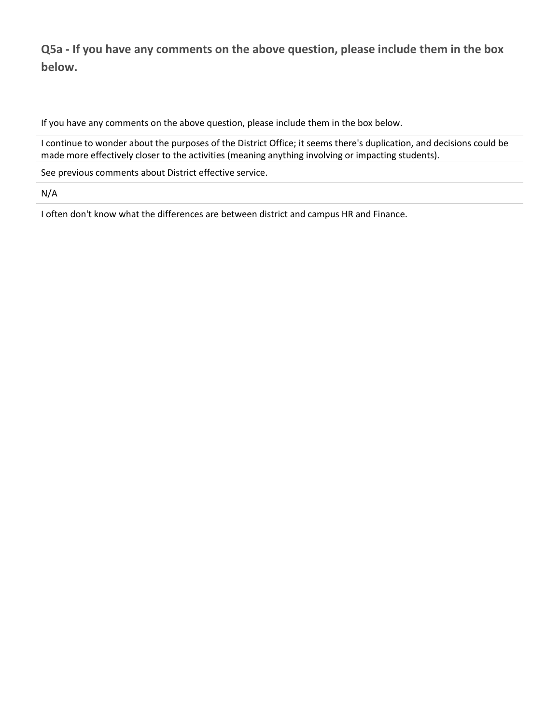**Q5a - If you have any comments on the above question, please include them in the box below.**

If you have any comments on the above question, please include them in the box below.

I continue to wonder about the purposes of the District Office; it seems there's duplication, and decisions could be made more effectively closer to the activities (meaning anything involving or impacting students).

See previous comments about District effective service.

N/A

I often don't know what the differences are between district and campus HR and Finance.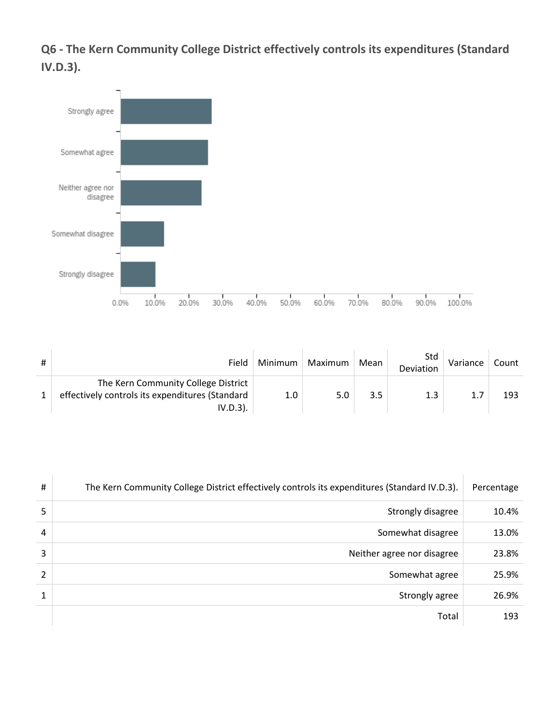**Q6 - The Kern Community College District effectively controls its expenditures (Standard IV.D.3).**



| # | Field                                                                                                 | Minimum | Maximum | Mean | Std<br>Deviation | Variance | Count |
|---|-------------------------------------------------------------------------------------------------------|---------|---------|------|------------------|----------|-------|
|   | The Kern Community College District<br>effectively controls its expenditures (Standard<br>$IV.D.3$ ). | 1.0     | 5.0     | 3.5  | 1.3              | 1.7      | 193   |

| #              | The Kern Community College District effectively controls its expenditures (Standard IV.D.3). | Percentage |
|----------------|----------------------------------------------------------------------------------------------|------------|
| 5              | Strongly disagree                                                                            | 10.4%      |
| 4              | Somewhat disagree                                                                            | 13.0%      |
| 3              | Neither agree nor disagree                                                                   | 23.8%      |
| $\overline{2}$ | Somewhat agree                                                                               | 25.9%      |
| 1              | Strongly agree                                                                               | 26.9%      |
|                | Total                                                                                        | 193        |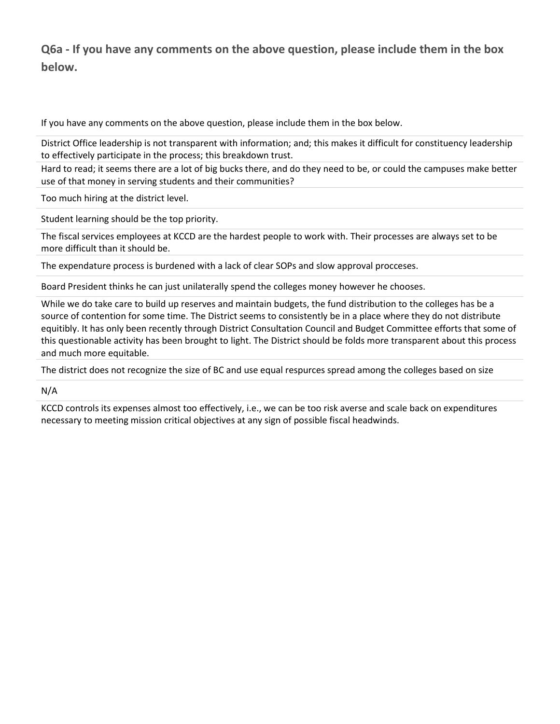### **Q6a - If you have any comments on the above question, please include them in the box below.**

If you have any comments on the above question, please include them in the box below.

District Office leadership is not transparent with information; and; this makes it difficult for constituency leadership to effectively participate in the process; this breakdown trust.

Hard to read; it seems there are a lot of big bucks there, and do they need to be, or could the campuses make better use of that money in serving students and their communities?

Too much hiring at the district level.

Student learning should be the top priority.

The fiscal services employees at KCCD are the hardest people to work with. Their processes are always set to be more difficult than it should be.

The expendature process is burdened with a lack of clear SOPs and slow approval procceses.

Board President thinks he can just unilaterally spend the colleges money however he chooses.

While we do take care to build up reserves and maintain budgets, the fund distribution to the colleges has be a source of contention for some time. The District seems to consistently be in a place where they do not distribute equitibly. It has only been recently through District Consultation Council and Budget Committee efforts that some of this questionable activity has been brought to light. The District should be folds more transparent about this process and much more equitable.

The district does not recognize the size of BC and use equal respurces spread among the colleges based on size

N/A

KCCD controls its expenses almost too effectively, i.e., we can be too risk averse and scale back on expenditures necessary to meeting mission critical objectives at any sign of possible fiscal headwinds.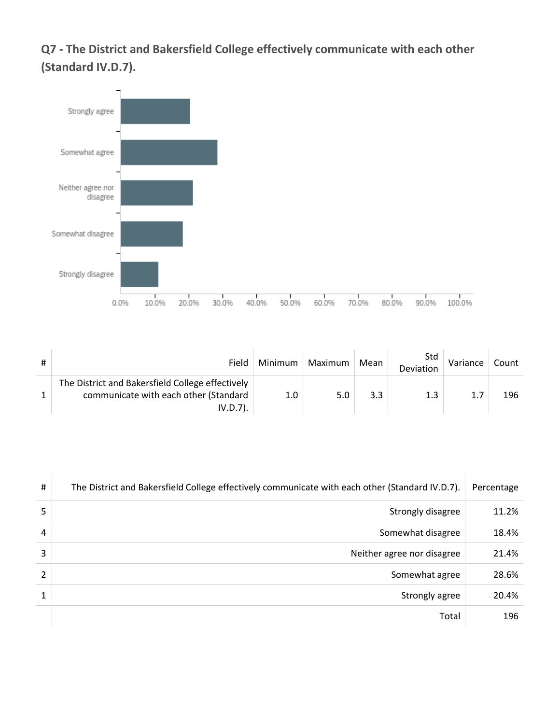**Q7 - The District and Bakersfield College effectively communicate with each other (Standard IV.D.7).**



| Field                                                                                                    | Minimum | Maximum | Mean | Std<br>Deviation | Variance | Count |
|----------------------------------------------------------------------------------------------------------|---------|---------|------|------------------|----------|-------|
| The District and Bakersfield College effectively<br>communicate with each other (Standard<br>$IV.D.7$ ). | 1.0     | 5.0     | 3.3  | 1.3              | 1.7      | 196   |

| #              | The District and Bakersfield College effectively communicate with each other (Standard IV.D.7). | Percentage |
|----------------|-------------------------------------------------------------------------------------------------|------------|
| 5              | Strongly disagree                                                                               | 11.2%      |
| 4              | Somewhat disagree                                                                               | 18.4%      |
| 3              | Neither agree nor disagree                                                                      | 21.4%      |
| $\overline{2}$ | Somewhat agree                                                                                  | 28.6%      |
| 1              | Strongly agree                                                                                  | 20.4%      |
|                | Total                                                                                           | 196        |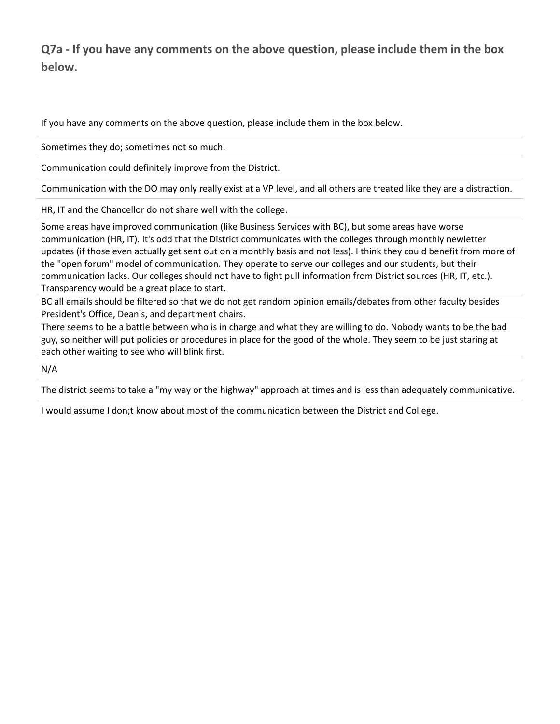## **Q7a - If you have any comments on the above question, please include them in the box below.**

If you have any comments on the above question, please include them in the box below.

Sometimes they do; sometimes not so much.

Communication could definitely improve from the District.

Communication with the DO may only really exist at a VP level, and all others are treated like they are a distraction.

HR, IT and the Chancellor do not share well with the college.

Some areas have improved communication (like Business Services with BC), but some areas have worse communication (HR, IT). It's odd that the District communicates with the colleges through monthly newletter updates (if those even actually get sent out on a monthly basis and not less). I think they could benefit from more of the "open forum" model of communication. They operate to serve our colleges and our students, but their communication lacks. Our colleges should not have to fight pull information from District sources (HR, IT, etc.). Transparency would be a great place to start.

BC all emails should be filtered so that we do not get random opinion emails/debates from other faculty besides President's Office, Dean's, and department chairs.

There seems to be a battle between who is in charge and what they are willing to do. Nobody wants to be the bad guy, so neither will put policies or procedures in place for the good of the whole. They seem to be just staring at each other waiting to see who will blink first.

N/A

The district seems to take a "my way or the highway" approach at times and is less than adequately communicative.

I would assume I don;t know about most of the communication between the District and College.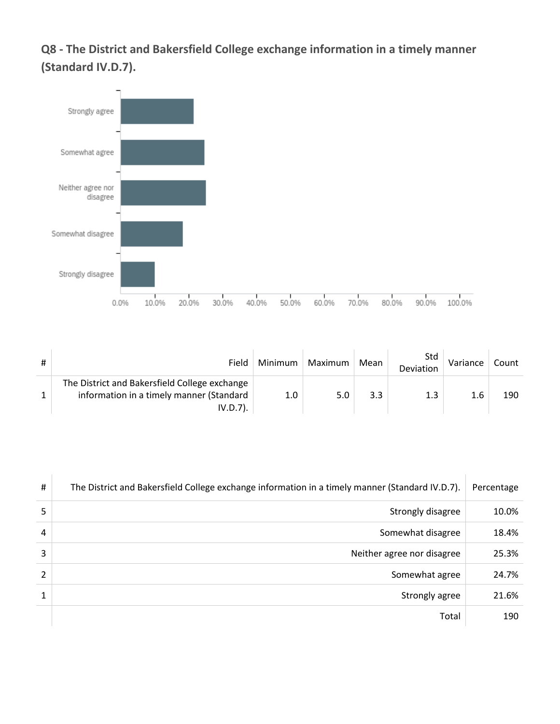**Q8 - The District and Bakersfield College exchange information in a timely manner (Standard IV.D.7).**



| Field                                                                                                    | Minimum          | Maximum | Mean | Std<br>Deviation | Variance | Count |
|----------------------------------------------------------------------------------------------------------|------------------|---------|------|------------------|----------|-------|
| The District and Bakersfield College exchange<br>information in a timely manner (Standard<br>$IV.D.7$ ). | 1.0 <sub>1</sub> | 5.0     | 3.3  | 1.3              | 1.6      | 190   |

| #              | The District and Bakersfield College exchange information in a timely manner (Standard IV.D.7). | Percentage |
|----------------|-------------------------------------------------------------------------------------------------|------------|
| 5              | Strongly disagree                                                                               | 10.0%      |
| 4              | Somewhat disagree                                                                               | 18.4%      |
| 3              | Neither agree nor disagree                                                                      | 25.3%      |
| $\overline{2}$ | Somewhat agree                                                                                  | 24.7%      |
| 1              | Strongly agree                                                                                  | 21.6%      |
|                | Total                                                                                           | 190        |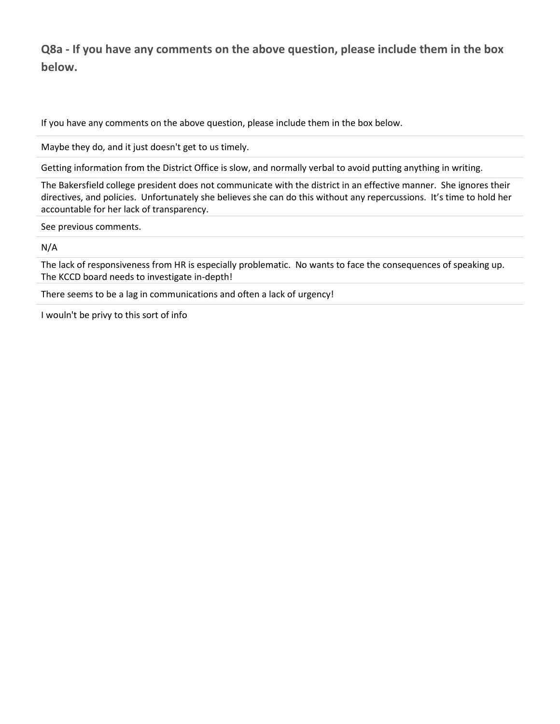**Q8a - If you have any comments on the above question, please include them in the box below.**

If you have any comments on the above question, please include them in the box below.

Maybe they do, and it just doesn't get to us timely.

Getting information from the District Office is slow, and normally verbal to avoid putting anything in writing.

The Bakersfield college president does not communicate with the district in an effective manner. She ignores their directives, and policies. Unfortunately she believes she can do this without any repercussions. It's time to hold her accountable for her lack of transparency.

See previous comments.

#### N/A

The lack of responsiveness from HR is especially problematic. No wants to face the consequences of speaking up. The KCCD board needs to investigate in-depth!

There seems to be a lag in communications and often a lack of urgency!

I wouln't be privy to this sort of info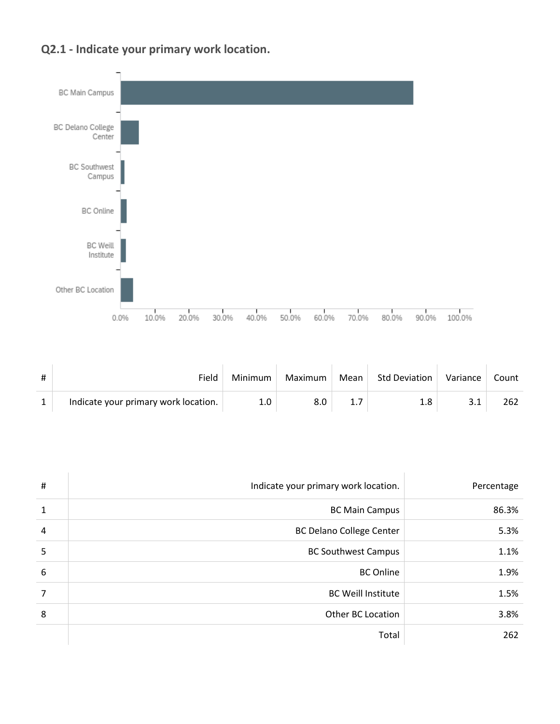



| #            | Field                                | Minimum | Maximum | Mean | <b>Std Deviation</b> | Variance | Count |
|--------------|--------------------------------------|---------|---------|------|----------------------|----------|-------|
| $\mathbf{1}$ | Indicate your primary work location. |         | 8.0     |      |                      |          | 262   |

| $\#$           | Indicate your primary work location. | Percentage |
|----------------|--------------------------------------|------------|
| $\mathbf{1}$   | <b>BC Main Campus</b>                | 86.3%      |
| $\overline{4}$ | <b>BC Delano College Center</b>      | 5.3%       |
| 5              | <b>BC Southwest Campus</b>           | 1.1%       |
| 6              | <b>BC</b> Online                     | 1.9%       |
| $\overline{7}$ | <b>BC Weill Institute</b>            | 1.5%       |
| 8              | <b>Other BC Location</b>             | 3.8%       |
|                | Total                                | 262        |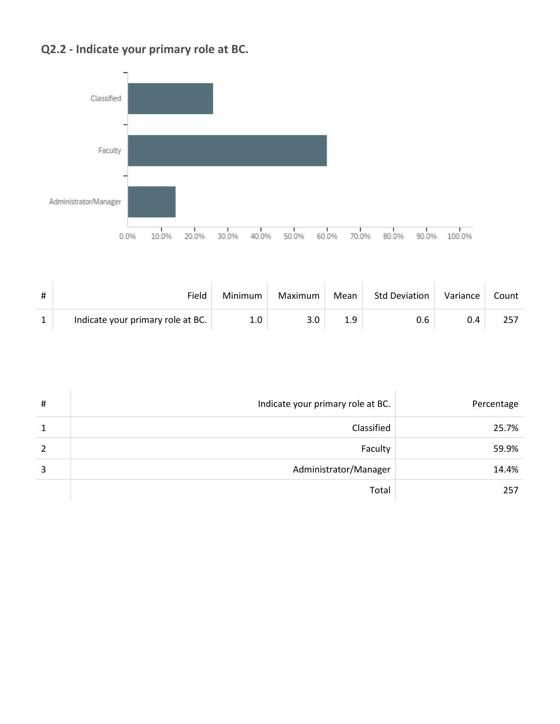## **Q2.2 - Indicate your primary role at BC.**



| # | Field                             | Minimum | Maximum | Mean | <b>Std Deviation</b> | Variance | Count |
|---|-----------------------------------|---------|---------|------|----------------------|----------|-------|
|   | Indicate your primary role at BC. | 1.0     | 3.0     | 1.9  | 0.6                  | 0.4      |       |

| # | Indicate your primary role at BC. | Percentage |
|---|-----------------------------------|------------|
| 1 | Classified                        | 25.7%      |
| 2 | Faculty                           | 59.9%      |
| 3 | Administrator/Manager             | 14.4%      |
|   | Total                             | 257        |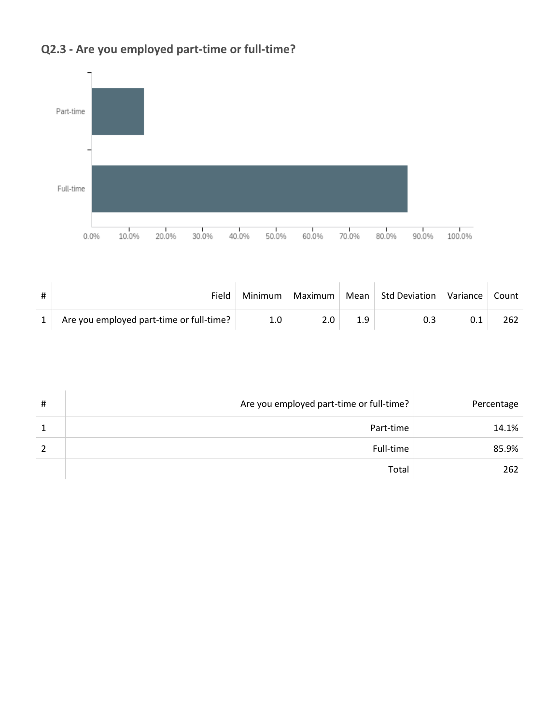

# **Q2.3 - Are you employed part-time or full-time?**

| Field                                    | Minimum | Maximum | Mean Std Deviation | Variance | Count |
|------------------------------------------|---------|---------|--------------------|----------|-------|
| Are you employed part-time or full-time? |         |         |                    | 0.1      |       |

| # | Are you employed part-time or full-time? | Percentage |
|---|------------------------------------------|------------|
| 1 | Part-time                                | 14.1%      |
|   | Full-time                                | 85.9%      |
|   | Total                                    | 262        |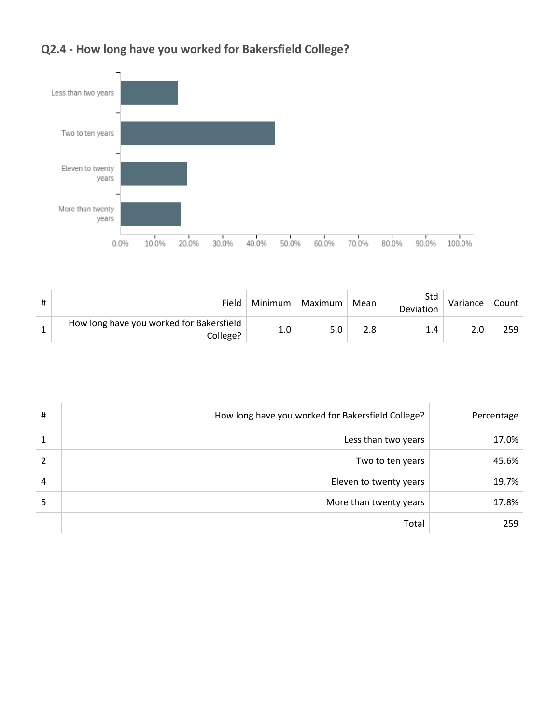# **Q2.4 - How long have you worked for Bakersfield College?**



| # | Field                                                | Minimum | Maximum | Mean | Std<br>Deviation | Variance | Count |
|---|------------------------------------------------------|---------|---------|------|------------------|----------|-------|
|   | How long have you worked for Bakersfield<br>College? | 1.0     | 5.0     | 2.8  | 14               | 2.0      | 259   |

| # | How long have you worked for Bakersfield College? | Percentage |
|---|---------------------------------------------------|------------|
| 1 | Less than two years                               | 17.0%      |
| 2 | Two to ten years                                  | 45.6%      |
| 4 | Eleven to twenty years                            | 19.7%      |
| 5 | More than twenty years                            | 17.8%      |
|   | Total                                             | 259        |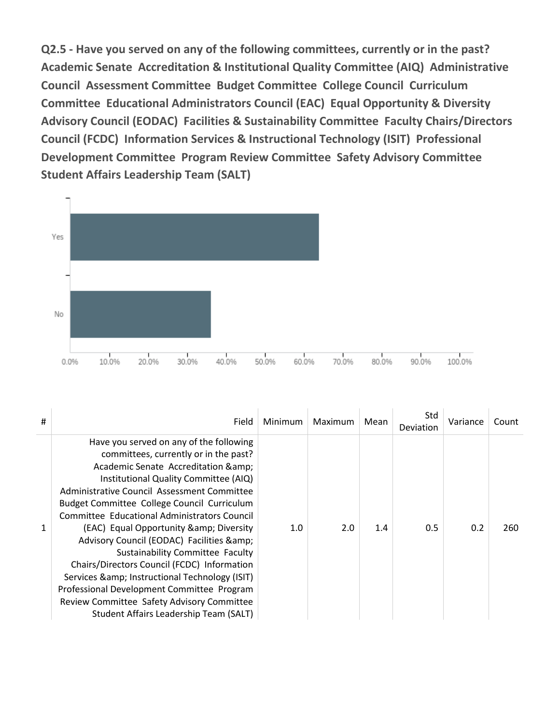**Q2.5 - Have you served on any of the following committees, currently or in the past? Academic Senate Accreditation & Institutional Quality Committee (AIQ) Administrative Council Assessment Committee Budget Committee College Council Curriculum Committee Educational Administrators Council (EAC) Equal Opportunity & Diversity Advisory Council (EODAC) Facilities & Sustainability Committee Faculty Chairs/Directors Council (FCDC) Information Services & Instructional Technology (ISIT) Professional Development Committee Program Review Committee Safety Advisory Committee Student Affairs Leadership Team (SALT)**



| #            | Field                                                                                                                                                                                                                                                                                                                                                                                                                                                                                                                                                                                                                                                                                 | Minimum | Maximum | Mean | Std<br>Deviation | Variance | Count |
|--------------|---------------------------------------------------------------------------------------------------------------------------------------------------------------------------------------------------------------------------------------------------------------------------------------------------------------------------------------------------------------------------------------------------------------------------------------------------------------------------------------------------------------------------------------------------------------------------------------------------------------------------------------------------------------------------------------|---------|---------|------|------------------|----------|-------|
| $\mathbf{1}$ | Have you served on any of the following<br>committees, currently or in the past?<br>Academic Senate Accreditation & amp;<br>Institutional Quality Committee (AIQ)<br>Administrative Council Assessment Committee<br>Budget Committee College Council Curriculum<br>Committee Educational Administrators Council<br>(EAC) Equal Opportunity & amp; Diversity<br>Advisory Council (EODAC) Facilities & amp;<br>Sustainability Committee Faculty<br>Chairs/Directors Council (FCDC) Information<br>Services & amp; Instructional Technology (ISIT)<br>Professional Development Committee Program<br>Review Committee Safety Advisory Committee<br>Student Affairs Leadership Team (SALT) | 1.0     | 2.0     | 1.4  | 0.5              | 0.2      | 260   |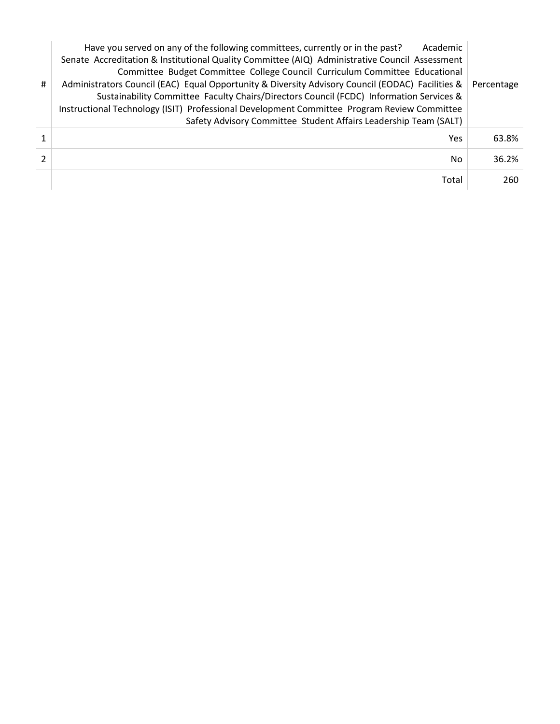|   | Have you served on any of the following committees, currently or in the past?<br>Academic        |            |
|---|--------------------------------------------------------------------------------------------------|------------|
|   | Senate Accreditation & Institutional Quality Committee (AIQ) Administrative Council Assessment   |            |
|   | Committee Budget Committee College Council Curriculum Committee Educational                      |            |
| # | Administrators Council (EAC) Equal Opportunity & Diversity Advisory Council (EODAC) Facilities & | Percentage |
|   | Sustainability Committee Faculty Chairs/Directors Council (FCDC) Information Services &          |            |
|   | Instructional Technology (ISIT) Professional Development Committee Program Review Committee      |            |
|   | Safety Advisory Committee Student Affairs Leadership Team (SALT)                                 |            |
|   | Yes                                                                                              | 63.8%      |
|   |                                                                                                  |            |
|   | No.                                                                                              | 36.2%      |
|   | Total                                                                                            | 260        |
|   |                                                                                                  |            |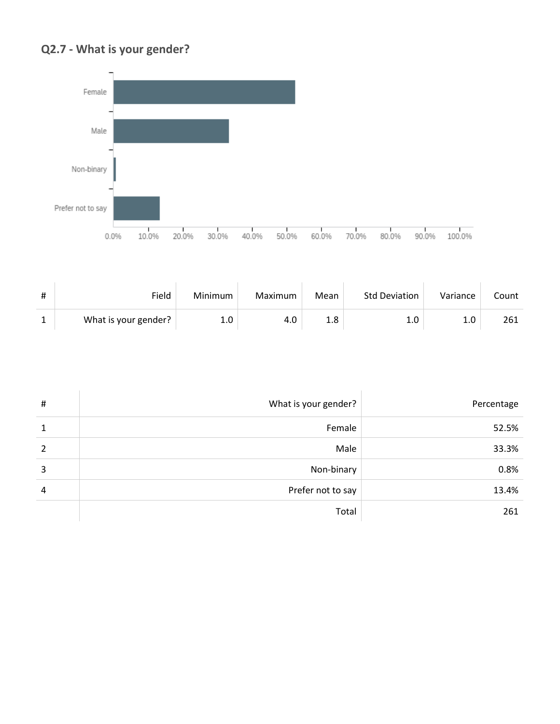## **Q2.7 - What is your gender?**



| # | Field                | Minimum | Maximum | Mean          | <b>Std Deviation</b> | Variance | Count |
|---|----------------------|---------|---------|---------------|----------------------|----------|-------|
|   | What is your gender? | 1.0     | 4.0     | $1.8^{\circ}$ |                      | 1.0      | 261   |

| #             | What is your gender? | Percentage |
|---------------|----------------------|------------|
| 1             | Female               | 52.5%      |
| $\mathcal{P}$ | Male                 | 33.3%      |
| 3             | Non-binary           | 0.8%       |
| 4             | Prefer not to say    | 13.4%      |
|               | Total                | 261        |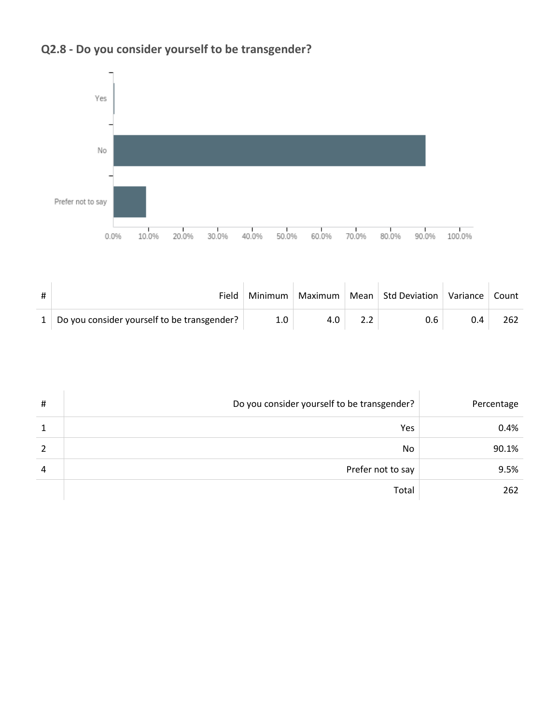

# **Q2.8 - Do you consider yourself to be transgender?**

| # | Field                                         | Minimum | Maximum | Mean Std Deviation | Variance   Count |     |
|---|-----------------------------------------------|---------|---------|--------------------|------------------|-----|
|   | 1 Do you consider yourself to be transgender? | 1.0     | 4.0     | 0.6                | 0.4              | 262 |

| # | Do you consider yourself to be transgender? | Percentage |
|---|---------------------------------------------|------------|
|   | Yes                                         | 0.4%       |
|   | No                                          | 90.1%      |
| 4 | Prefer not to say                           | 9.5%       |
|   | Total                                       | 262        |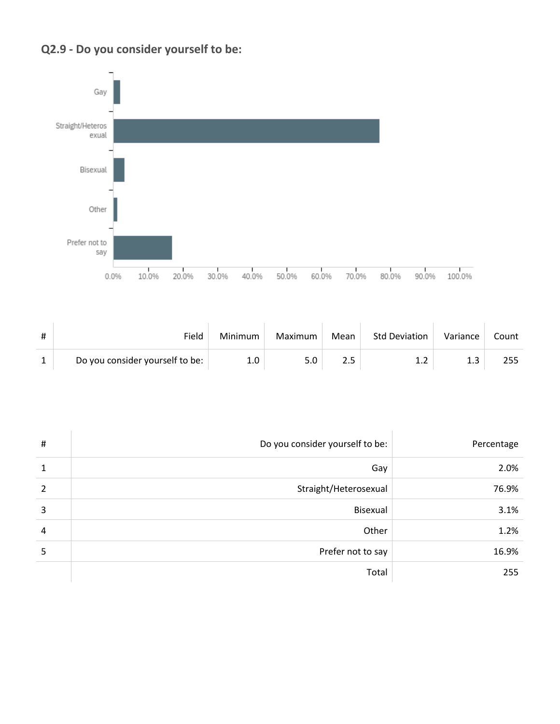



| Field                           | Minimum | Maximum | Mean | Std Deviation | Variance | Count |
|---------------------------------|---------|---------|------|---------------|----------|-------|
| Do you consider yourself to be: | 1.0     | 5.0     |      |               | 1.3      |       |

| $\sharp$       | Do you consider yourself to be: | Percentage |
|----------------|---------------------------------|------------|
| 1              | Gay                             | 2.0%       |
| $\overline{2}$ | Straight/Heterosexual           | 76.9%      |
| 3              | Bisexual                        | 3.1%       |
| $\overline{4}$ | Other                           | 1.2%       |
| 5              | Prefer not to say               | 16.9%      |
|                | Total                           | 255        |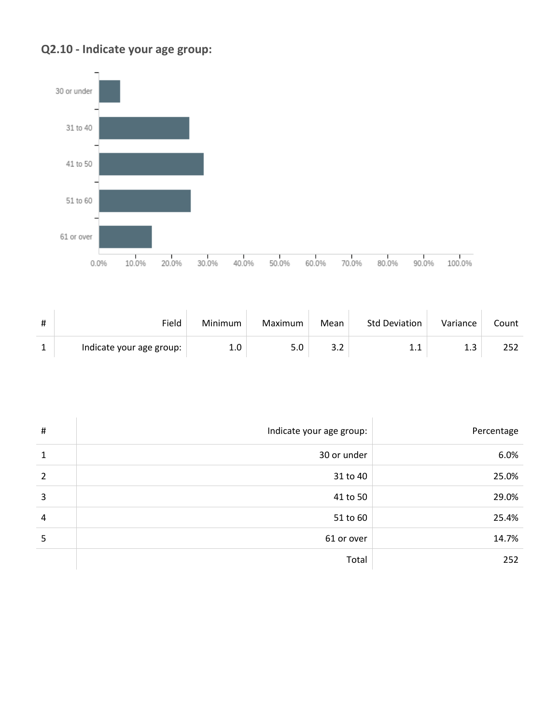



| # | Field                    | Minimum | Maximum | Mean  | <b>Std Deviation</b> | Variance | Count |
|---|--------------------------|---------|---------|-------|----------------------|----------|-------|
|   | Indicate your age group: | 1.0     | 5.0     | ے . د |                      |          |       |

| $\#$ | Indicate your age group: | Percentage |
|------|--------------------------|------------|
| 1    | 30 or under              | 6.0%       |
| 2    | 31 to 40                 | 25.0%      |
| 3    | 41 to 50                 | 29.0%      |
| 4    | 51 to 60                 | 25.4%      |
| 5    | 61 or over               | 14.7%      |
|      | Total                    | 252        |